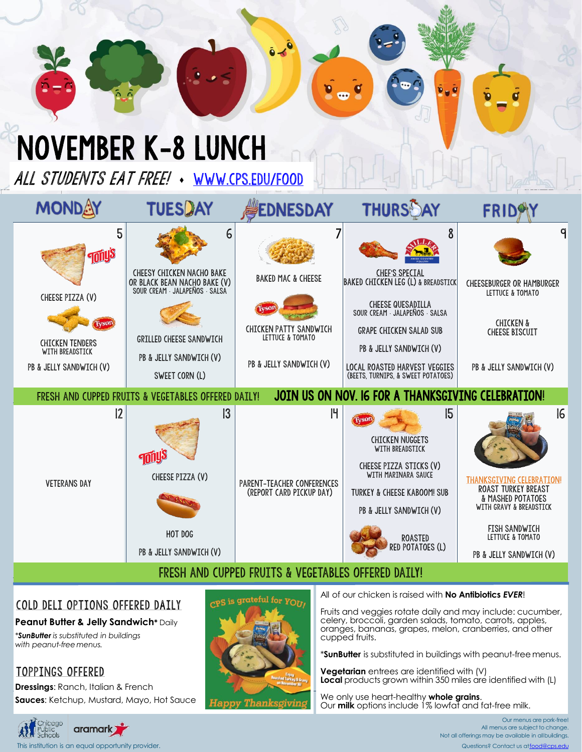## November K-8 LUNCH

ALL STUDENTS EAT FREE! . WWW.CPS.EDU/FOOD

| MONDAY                                                                                                                          | <b>TUESDAY</b>                                                                                                                                                                         | <b>EDNESDAY</b>                                                                                                        | <b>THURSAY</b>                                                                                                                                                                                                                                          | <b>FRID</b>                                                                                                                                                                          |  |  |
|---------------------------------------------------------------------------------------------------------------------------------|----------------------------------------------------------------------------------------------------------------------------------------------------------------------------------------|------------------------------------------------------------------------------------------------------------------------|---------------------------------------------------------------------------------------------------------------------------------------------------------------------------------------------------------------------------------------------------------|--------------------------------------------------------------------------------------------------------------------------------------------------------------------------------------|--|--|
| 5<br><b>Turiy</b> s<br>CHEESE PIZZA (V)<br><b>Iyson</b><br><b>CHICKEN TENDERS</b><br>WITH BREADSTICK<br>PB & JELLY SANDWICH (V) | 6<br><b>CHEESY CHICKEN NACHO BAKE</b><br>OR BLACK BEAN NACHO BAKE (V)<br>SOUR CREAM · JALAPEÑOS · SALSA<br><b>GRILLED CHEESE SANDWICH</b><br>PB & JELLY SANDWICH (V)<br>SWEET CORN (L) | <b>BAKED MAC &amp; CHEESE</b><br>fysor<br><b>CHICKEN PATTY SANDWICH</b><br>LETTUCE & TOMATO<br>PB & JELLY SANDWICH (V) | 8<br><b>CHEF'S SPECIAL</b><br>BAKED CHICKEN LEG (L) & BREADSTICK<br>CHEESE QUESADILLA<br>SOUR CREAM JALAPENOS SALSA<br><b>GRAPE CHICKEN SALAD SUB</b><br>PB & JELLY SANDWICH (V)<br>LOCAL ROASTED HARVEST VEGGIES<br>(BEETS, TURNIPS, & SWEET POTATOES) | q<br><b>CHEESEBURGER OR HAMBURGER</b><br>LETTUCE & TOMATO<br><b>CHICKEN &amp;</b><br><b>CHEESE BISCUIT</b><br>PB & JELLY SANDWICH (V)                                                |  |  |
| JOIN US ON NOV. IG FOR A THANKSGIVING CELEBRATION!<br>FRESH AND CUPPED FRUITS & VEGETABLES OFFERED DAILY!                       |                                                                                                                                                                                        |                                                                                                                        |                                                                                                                                                                                                                                                         |                                                                                                                                                                                      |  |  |
| 2<br><b>VETERANS DAY</b>                                                                                                        | $\overline{3}$<br><b>FONU</b><br>CHEESE PIZZA (V)<br>HOT DOG<br>PB & JELLY SANDWICH (V)                                                                                                | H<br>PARENT-TEACHER CONFERENCES<br>(REPORT CARD PICKUP DAY)                                                            | 15<br><b>CHICKEN NUGGETS</b><br>WITH BREADSTICK<br>CHEESE PIZZA STICKS (V)<br>WITH MARINARA SAUCE<br><b>TURKEY &amp; CHEESE KABOOM! SUB</b><br>PB & JELLY SANDWICH (V)<br><b>ROASTED</b><br>RED POTATOES (L)                                            | 16<br>THANKSGIVING CELEBRATION!<br><b>ROAST TURKEY BREAST</b><br>& MASHED POTATOES<br>WITH GRAVY & BREADSTICK<br><b>FISH SANDWICH</b><br>LETTUCE & TOMATO<br>PB & JELLY SANDWICH (V) |  |  |
| FRESH AND CUPPED FRUITS & VEGETABLES OFFERED DAILY!                                                                             |                                                                                                                                                                                        |                                                                                                                        |                                                                                                                                                                                                                                                         |                                                                                                                                                                                      |  |  |

### COLD DELI OPTIONS OFFERED DAILY

**Peanut Butter & Jelly Sandwich\*** Daily

*\*SunButter is substituted in buildings with peanut-freemenus.*

### TOPPINGS OFFERED

**Dressings**: Ranch, Italian & French **Sauces**: Ketchup, Mustard, Mayo, Hot Sauce



All of our chicken is raised with **No Antibiotics** *EVER*!

Fruits and veggies rotate daily and may include: cucumber, celery, broccoli, garden salads, tomato, carrots, apples, oranges, bananas, grapes, melon, cranberries, and other cupped fruits.

\***SunButter** is substituted in buildings with peanut-freemenus.

**Vegetarian** entrees are identified with (V) **Local** products grown within 350 miles are identified with (L)

We only use heart-healthy **whole grains**. Our **milk** options include 1% lowfat and fat-free milk.



Our menus are pork-free! All menus are subject to change. Not all offerings may be available in allbuildings. Questions? Contact us a[tfood@cps.edu](mailto:food@cps.edu)